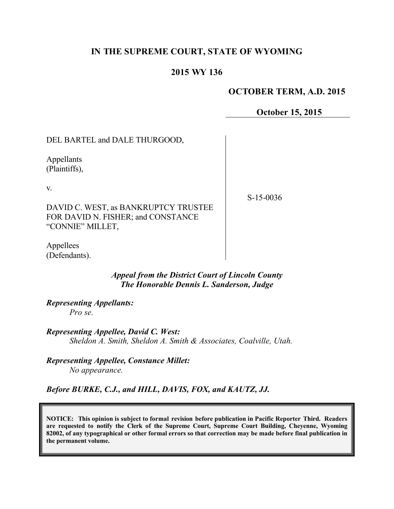# **IN THE SUPREME COURT, STATE OF WYOMING**

### **2015 WY 136**

#### **OCTOBER TERM, A.D. 2015**

**October 15, 2015**

DEL BARTEL and DALE THURGOOD,

Appellants (Plaintiffs),

v.

S-15-0036

DAVID C. WEST, as BANKRUPTCY TRUSTEE FOR DAVID N. FISHER; and CONSTANCE "CONNIE" MILLET,

Appellees (Defendants).

> *Appeal from the District Court of Lincoln County The Honorable Dennis L. Sanderson, Judge*

*Representing Appellants: Pro se.*

*Representing Appellee, David C. West: Sheldon A. Smith, Sheldon A. Smith & Associates, Coalville, Utah.*

*Representing Appellee, Constance Millet: No appearance.*

*Before BURKE, C.J., and HILL, DAVIS, FOX, and KAUTZ, JJ.*

**NOTICE: This opinion is subject to formal revision before publication in Pacific Reporter Third. Readers are requested to notify the Clerk of the Supreme Court, Supreme Court Building, Cheyenne, Wyoming 82002, of any typographical or other formal errors so that correction may be made before final publication in the permanent volume.**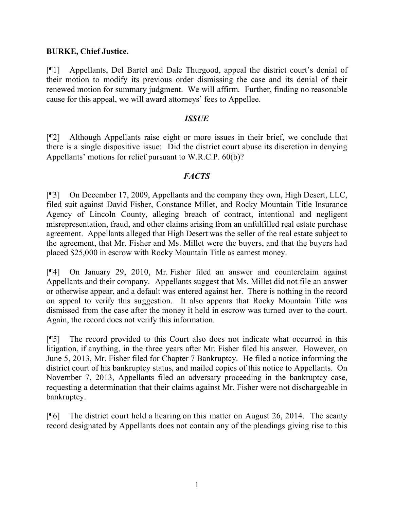## **BURKE, Chief Justice.**

[¶1] Appellants, Del Bartel and Dale Thurgood, appeal the district court's denial of their motion to modify its previous order dismissing the case and its denial of their renewed motion for summary judgment. We will affirm. Further, finding no reasonable cause for this appeal, we will award attorneys' fees to Appellee.

#### *ISSUE*

[¶2] Although Appellants raise eight or more issues in their brief, we conclude that there is a single dispositive issue: Did the district court abuse its discretion in denying Appellants' motions for relief pursuant to W.R.C.P. 60(b)?

# *FACTS*

[¶3] On December 17, 2009, Appellants and the company they own, High Desert, LLC, filed suit against David Fisher, Constance Millet, and Rocky Mountain Title Insurance Agency of Lincoln County, alleging breach of contract, intentional and negligent misrepresentation, fraud, and other claims arising from an unfulfilled real estate purchase agreement. Appellants alleged that High Desert was the seller of the real estate subject to the agreement, that Mr. Fisher and Ms. Millet were the buyers, and that the buyers had placed \$25,000 in escrow with Rocky Mountain Title as earnest money.

[¶4] On January 29, 2010, Mr. Fisher filed an answer and counterclaim against Appellants and their company. Appellants suggest that Ms. Millet did not file an answer or otherwise appear, and a default was entered against her. There is nothing in the record on appeal to verify this suggestion. It also appears that Rocky Mountain Title was dismissed from the case after the money it held in escrow was turned over to the court. Again, the record does not verify this information.

[¶5] The record provided to this Court also does not indicate what occurred in this litigation, if anything, in the three years after Mr. Fisher filed his answer. However, on June 5, 2013, Mr. Fisher filed for Chapter 7 Bankruptcy. He filed a notice informing the district court of his bankruptcy status, and mailed copies of this notice to Appellants. On November 7, 2013, Appellants filed an adversary proceeding in the bankruptcy case, requesting a determination that their claims against Mr. Fisher were not dischargeable in bankruptcy.

[¶6] The district court held a hearing on this matter on August 26, 2014. The scanty record designated by Appellants does not contain any of the pleadings giving rise to this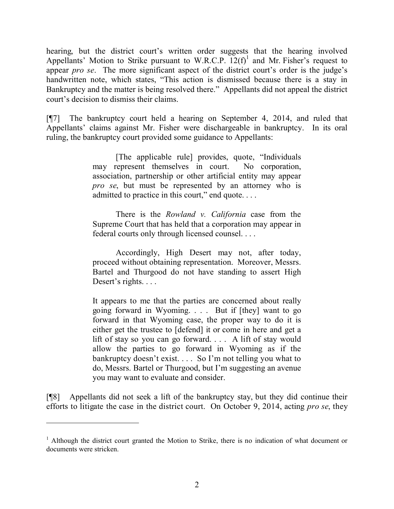hearing, but the district court's written order suggests that the hearing involved Appellants' Motion to Strike pursuant to W.R.C.P.  $12(f)^1$  and Mr. Fisher's request to appear *pro se*. The more significant aspect of the district court's order is the judge's handwritten note, which states, "This action is dismissed because there is a stay in Bankruptcy and the matter is being resolved there." Appellants did not appeal the district court's decision to dismiss their claims.

[¶7] The bankruptcy court held a hearing on September 4, 2014, and ruled that Appellants' claims against Mr. Fisher were dischargeable in bankruptcy. In its oral ruling, the bankruptcy court provided some guidance to Appellants:

> [The applicable rule] provides, quote, "Individuals may represent themselves in court. No corporation, association, partnership or other artificial entity may appear *pro se*, but must be represented by an attorney who is admitted to practice in this court," end quote. . . .

> There is the *Rowland v. California* case from the Supreme Court that has held that a corporation may appear in federal courts only through licensed counsel. . . .

> Accordingly, High Desert may not, after today, proceed without obtaining representation. Moreover, Messrs. Bartel and Thurgood do not have standing to assert High Desert's rights. . . .

> It appears to me that the parties are concerned about really going forward in Wyoming. . . . But if [they] want to go forward in that Wyoming case, the proper way to do it is either get the trustee to [defend] it or come in here and get a lift of stay so you can go forward. . . . A lift of stay would allow the parties to go forward in Wyoming as if the bankruptcy doesn't exist. . . . So I'm not telling you what to do, Messrs. Bartel or Thurgood, but I'm suggesting an avenue you may want to evaluate and consider.

[¶8] Appellants did not seek a lift of the bankruptcy stay, but they did continue their efforts to litigate the case in the district court. On October 9, 2014, acting *pro se*, they

 $\overline{a}$ 

<sup>&</sup>lt;sup>1</sup> Although the district court granted the Motion to Strike, there is no indication of what document or documents were stricken.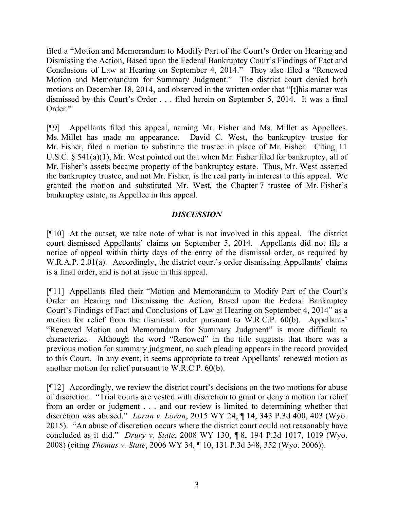filed a "Motion and Memorandum to Modify Part of the Court's Order on Hearing and Dismissing the Action, Based upon the Federal Bankruptcy Court's Findings of Fact and Conclusions of Law at Hearing on September 4, 2014." They also filed a "Renewed Motion and Memorandum for Summary Judgment." The district court denied both motions on December 18, 2014, and observed in the written order that "[t]his matter was dismissed by this Court's Order . . . filed herein on September 5, 2014. It was a final Order."

[¶9] Appellants filed this appeal, naming Mr. Fisher and Ms. Millet as Appellees. Ms. Millet has made no appearance. David C. West, the bankruptcy trustee for Mr. Fisher, filed a motion to substitute the trustee in place of Mr. Fisher. Citing 11 U.S.C. § 541(a)(1), Mr. West pointed out that when Mr. Fisher filed for bankruptcy, all of Mr. Fisher's assets became property of the bankruptcy estate. Thus, Mr. West asserted the bankruptcy trustee, and not Mr. Fisher, is the real party in interest to this appeal. We granted the motion and substituted Mr. West, the Chapter 7 trustee of Mr. Fisher's bankruptcy estate, as Appellee in this appeal.

## *DISCUSSION*

[¶10] At the outset, we take note of what is not involved in this appeal. The district court dismissed Appellants' claims on September 5, 2014. Appellants did not file a notice of appeal within thirty days of the entry of the dismissal order, as required by W.R.A.P. 2.01(a). Accordingly, the district court's order dismissing Appellants' claims is a final order, and is not at issue in this appeal.

[¶11] Appellants filed their "Motion and Memorandum to Modify Part of the Court's Order on Hearing and Dismissing the Action, Based upon the Federal Bankruptcy Court's Findings of Fact and Conclusions of Law at Hearing on September 4, 2014" as a motion for relief from the dismissal order pursuant to W.R.C.P. 60(b). Appellants' "Renewed Motion and Memorandum for Summary Judgment" is more difficult to characterize. Although the word "Renewed" in the title suggests that there was a previous motion for summary judgment, no such pleading appears in the record provided to this Court. In any event, it seems appropriate to treat Appellants' renewed motion as another motion for relief pursuant to W.R.C.P. 60(b).

[¶12] Accordingly, we review the district court's decisions on the two motions for abuse of discretion. "Trial courts are vested with discretion to grant or deny a motion for relief from an order or judgment . . . and our review is limited to determining whether that discretion was abused." *Loran v. Loran*, 2015 WY 24, ¶ 14, 343 P.3d 400, 403 (Wyo. 2015). "An abuse of discretion occurs where the district court could not reasonably have concluded as it did." *Drury v. State*, 2008 WY 130, ¶ 8, 194 P.3d 1017, 1019 (Wyo. 2008) (citing *Thomas v. State*, 2006 WY 34, ¶ 10, 131 P.3d 348, 352 (Wyo. 2006)).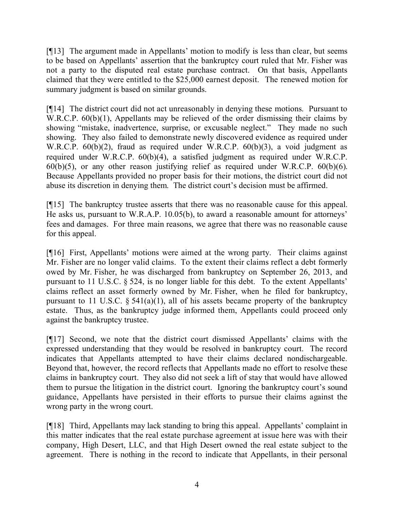[¶13] The argument made in Appellants' motion to modify is less than clear, but seems to be based on Appellants' assertion that the bankruptcy court ruled that Mr. Fisher was not a party to the disputed real estate purchase contract. On that basis, Appellants claimed that they were entitled to the \$25,000 earnest deposit. The renewed motion for summary judgment is based on similar grounds.

[¶14] The district court did not act unreasonably in denying these motions. Pursuant to W.R.C.P.  $60(b)(1)$ , Appellants may be relieved of the order dismissing their claims by showing "mistake, inadvertence, surprise, or excusable neglect." They made no such showing. They also failed to demonstrate newly discovered evidence as required under W.R.C.P. 60(b)(2), fraud as required under W.R.C.P. 60(b)(3), a void judgment as required under W.R.C.P. 60(b)(4), a satisfied judgment as required under W.R.C.P.  $60(b)(5)$ , or any other reason justifying relief as required under W.R.C.P.  $60(b)(6)$ . Because Appellants provided no proper basis for their motions, the district court did not abuse its discretion in denying them. The district court's decision must be affirmed.

[¶15] The bankruptcy trustee asserts that there was no reasonable cause for this appeal. He asks us, pursuant to W.R.A.P. 10.05(b), to award a reasonable amount for attorneys' fees and damages. For three main reasons, we agree that there was no reasonable cause for this appeal.

[¶16] First, Appellants' motions were aimed at the wrong party. Their claims against Mr. Fisher are no longer valid claims. To the extent their claims reflect a debt formerly owed by Mr. Fisher, he was discharged from bankruptcy on September 26, 2013, and pursuant to 11 U.S.C. § 524, is no longer liable for this debt. To the extent Appellants' claims reflect an asset formerly owned by Mr. Fisher, when he filed for bankruptcy, pursuant to 11 U.S.C.  $\S$  541(a)(1), all of his assets became property of the bankruptcy estate. Thus, as the bankruptcy judge informed them, Appellants could proceed only against the bankruptcy trustee.

[¶17] Second, we note that the district court dismissed Appellants' claims with the expressed understanding that they would be resolved in bankruptcy court. The record indicates that Appellants attempted to have their claims declared nondischargeable. Beyond that, however, the record reflects that Appellants made no effort to resolve these claims in bankruptcy court. They also did not seek a lift of stay that would have allowed them to pursue the litigation in the district court. Ignoring the bankruptcy court's sound guidance, Appellants have persisted in their efforts to pursue their claims against the wrong party in the wrong court.

[¶18] Third, Appellants may lack standing to bring this appeal. Appellants' complaint in this matter indicates that the real estate purchase agreement at issue here was with their company, High Desert, LLC, and that High Desert owned the real estate subject to the agreement. There is nothing in the record to indicate that Appellants, in their personal